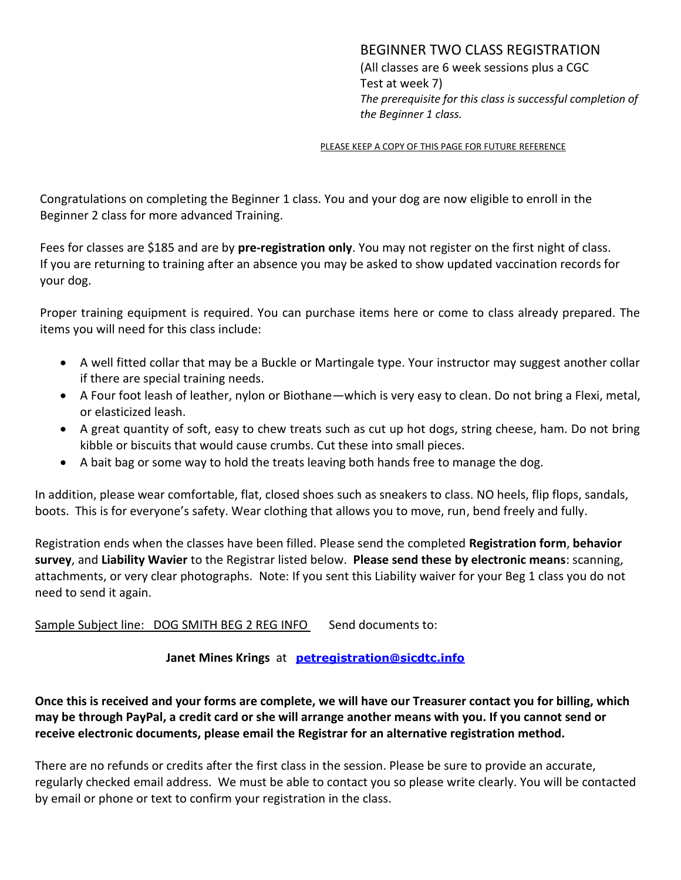## BEGINNER TWO CLASS REGISTRATION

(All classes are 6 week sessions plus a CGC Test at week 7) *The prerequisite for this class is successful completion of the Beginner 1 class.*

#### PLEASE KEEP A COPY OF THIS PAGE FOR FUTURE REFERENCE

Congratulations on completing the Beginner 1 class. You and your dog are now eligible to enroll in the Beginner 2 class for more advanced Training.

Fees for classes are \$185 and are by **pre-registration only**. You may not register on the first night of class. If you are returning to training after an absence you may be asked to show updated vaccination records for your dog.

Proper training equipment is required. You can purchase items here or come to class already prepared. The items you will need for this class include:

- A well fitted collar that may be a Buckle or Martingale type. Your instructor may suggest another collar if there are special training needs.
- A Four foot leash of leather, nylon or Biothane—which is very easy to clean. Do not bring a Flexi, metal, or elasticized leash.
- A great quantity of soft, easy to chew treats such as cut up hot dogs, string cheese, ham. Do not bring kibble or biscuits that would cause crumbs. Cut these into small pieces.
- A bait bag or some way to hold the treats leaving both hands free to manage the dog.

In addition, please wear comfortable, flat, closed shoes such as sneakers to class. NO heels, flip flops, sandals, boots. This is for everyone's safety. Wear clothing that allows you to move, run, bend freely and fully.

Registration ends when the classes have been filled. Please send the completed **Registration form**, **behavior survey**, and **Liability Wavier** to the Registrar listed below. **Please send these by electronic means**: scanning, attachments, or very clear photographs. Note: If you sent this Liability waiver for your Beg 1 class you do not need to send it again.

Sample Subject line: DOG SMITH BEG 2 REG INFO Send documents to:

**Janet Mines Krings** at **[petregistration@sicdtc.info](mailto:petregistration@sicdtc.info)**

**Once this is received and your forms are complete, we will have our Treasurer contact you for billing, which may be through PayPal, a credit card or she will arrange another means with you. If you cannot send or receive electronic documents, please email the Registrar for an alternative registration method.**

There are no refunds or credits after the first class in the session. Please be sure to provide an accurate, regularly checked email address. We must be able to contact you so please write clearly. You will be contacted by email or phone or text to confirm your registration in the class.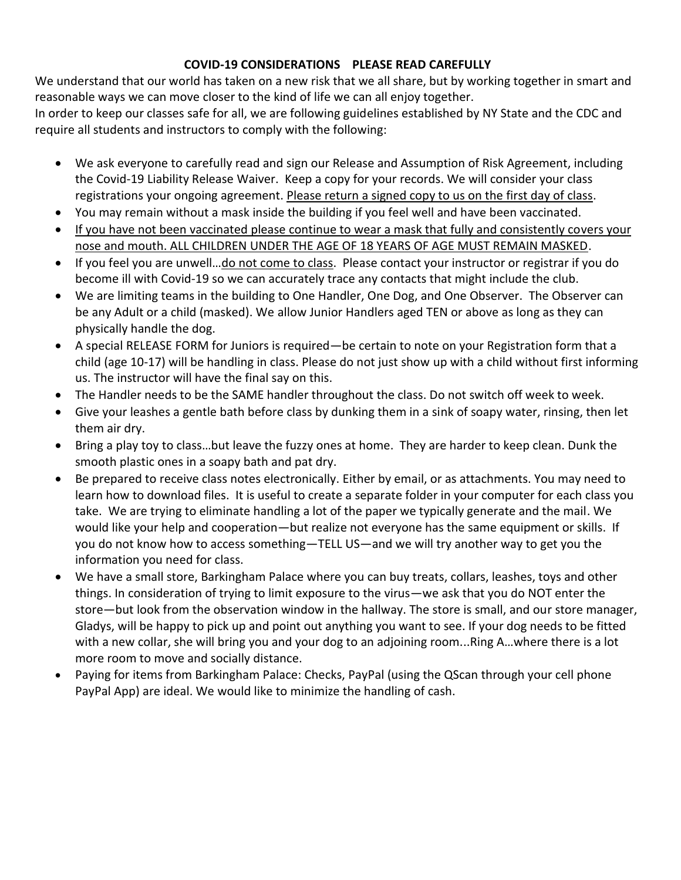### **COVID-19 CONSIDERATIONS PLEASE READ CAREFULLY**

We understand that our world has taken on a new risk that we all share, but by working together in smart and reasonable ways we can move closer to the kind of life we can all enjoy together.

In order to keep our classes safe for all, we are following guidelines established by NY State and the CDC and require all students and instructors to comply with the following:

- We ask everyone to carefully read and sign our Release and Assumption of Risk Agreement, including the Covid-19 Liability Release Waiver. Keep a copy for your records. We will consider your class registrations your ongoing agreement. Please return a signed copy to us on the first day of class.
- You may remain without a mask inside the building if you feel well and have been vaccinated.
- If you have not been vaccinated please continue to wear a mask that fully and consistently covers your nose and mouth. ALL CHILDREN UNDER THE AGE OF 18 YEARS OF AGE MUST REMAIN MASKED.
- If you feel you are unwell…do not come to class. Please contact your instructor or registrar if you do become ill with Covid-19 so we can accurately trace any contacts that might include the club.
- We are limiting teams in the building to One Handler, One Dog, and One Observer. The Observer can be any Adult or a child (masked). We allow Junior Handlers aged TEN or above as long as they can physically handle the dog.
- A special RELEASE FORM for Juniors is required—be certain to note on your Registration form that a child (age 10-17) will be handling in class. Please do not just show up with a child without first informing us. The instructor will have the final say on this.
- The Handler needs to be the SAME handler throughout the class. Do not switch off week to week.
- Give your leashes a gentle bath before class by dunking them in a sink of soapy water, rinsing, then let them air dry.
- Bring a play toy to class…but leave the fuzzy ones at home. They are harder to keep clean. Dunk the smooth plastic ones in a soapy bath and pat dry.
- Be prepared to receive class notes electronically. Either by email, or as attachments. You may need to learn how to download files. It is useful to create a separate folder in your computer for each class you take. We are trying to eliminate handling a lot of the paper we typically generate and the mail. We would like your help and cooperation—but realize not everyone has the same equipment or skills. If you do not know how to access something—TELL US—and we will try another way to get you the information you need for class.
- We have a small store, Barkingham Palace where you can buy treats, collars, leashes, toys and other things. In consideration of trying to limit exposure to the virus—we ask that you do NOT enter the store—but look from the observation window in the hallway. The store is small, and our store manager, Gladys, will be happy to pick up and point out anything you want to see. If your dog needs to be fitted with a new collar, she will bring you and your dog to an adjoining room...Ring A…where there is a lot more room to move and socially distance.
- Paying for items from Barkingham Palace: Checks, PayPal (using the QScan through your cell phone PayPal App) are ideal. We would like to minimize the handling of cash.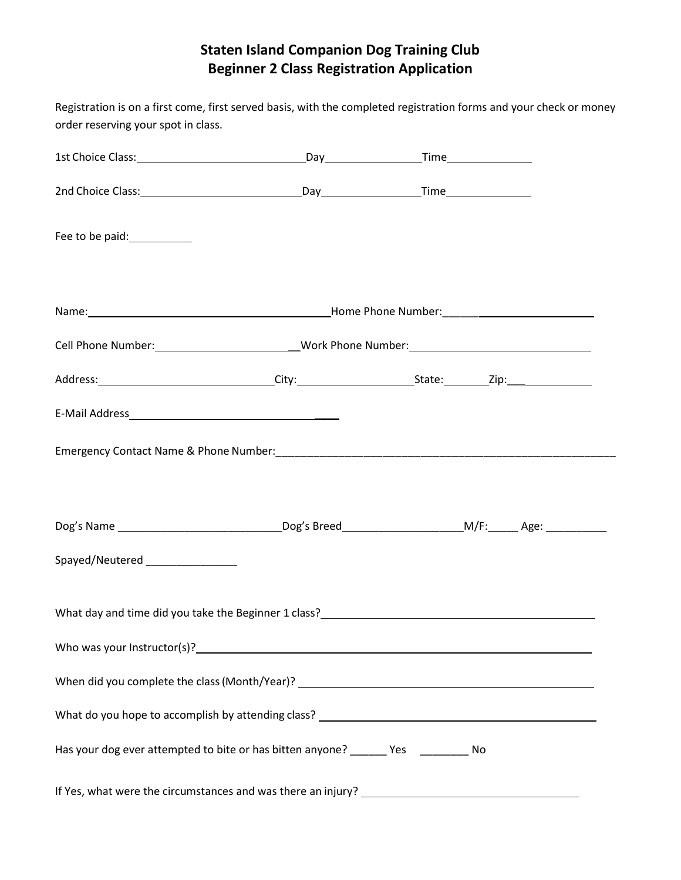# **Staten Island Companion Dog Training Club Beginner 2 Class Registration Application**

| order reserving your spot in class.                                                                                                                                                                                            | Registration is on a first come, first served basis, with the completed registration forms and your check or money |  |  |
|--------------------------------------------------------------------------------------------------------------------------------------------------------------------------------------------------------------------------------|--------------------------------------------------------------------------------------------------------------------|--|--|
|                                                                                                                                                                                                                                |                                                                                                                    |  |  |
|                                                                                                                                                                                                                                |                                                                                                                    |  |  |
| Fee to be paid: Network of the same of the same of the same of the same of the same of the same of the same of the same of the same of the same of the same of the same of the same of the same of the same of the same of the |                                                                                                                    |  |  |
|                                                                                                                                                                                                                                |                                                                                                                    |  |  |
| Cell Phone Number: ____________________________Work Phone Number: _________________________________                                                                                                                            |                                                                                                                    |  |  |
|                                                                                                                                                                                                                                |                                                                                                                    |  |  |
|                                                                                                                                                                                                                                |                                                                                                                    |  |  |
|                                                                                                                                                                                                                                |                                                                                                                    |  |  |
|                                                                                                                                                                                                                                |                                                                                                                    |  |  |
| Spayed/Neutered ________________                                                                                                                                                                                               |                                                                                                                    |  |  |
|                                                                                                                                                                                                                                |                                                                                                                    |  |  |
| Who was your Instructor(s)? Note that the contract of the contract of the contract of the contract of the contract of the contract of the contract of the contract of the contract of the contract of the contract of the cont |                                                                                                                    |  |  |
|                                                                                                                                                                                                                                |                                                                                                                    |  |  |
|                                                                                                                                                                                                                                |                                                                                                                    |  |  |
| Has your dog ever attempted to bite or has bitten anyone? _______ Yes __________ No                                                                                                                                            |                                                                                                                    |  |  |
|                                                                                                                                                                                                                                |                                                                                                                    |  |  |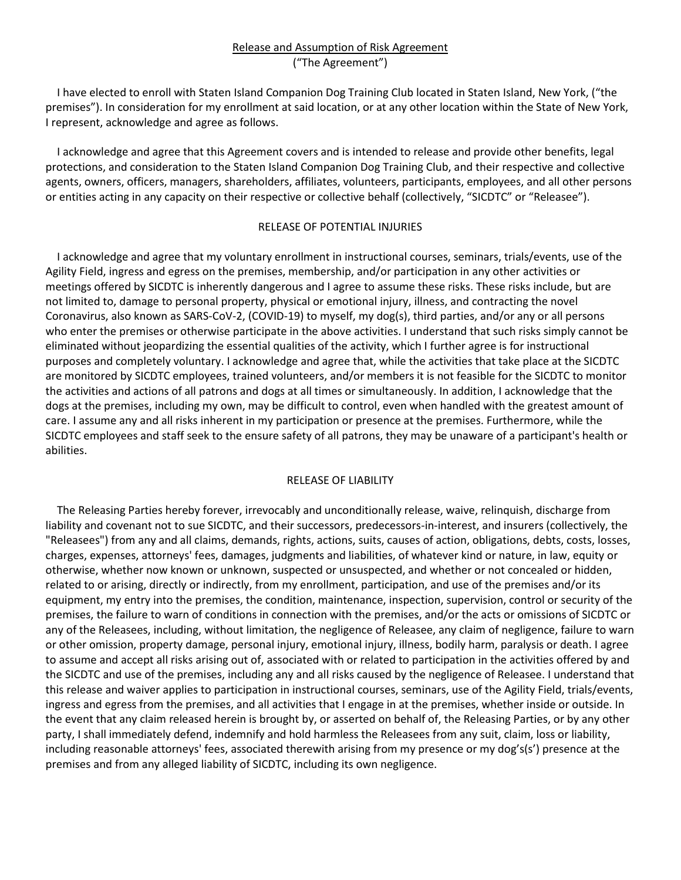#### Release and Assumption of Risk Agreement ("The Agreement")

I have elected to enroll with Staten Island Companion Dog Training Club located in Staten Island, New York, ("the premises"). In consideration for my enrollment at said location, or at any other location within the State of New York, I represent, acknowledge and agree as follows.

I acknowledge and agree that this Agreement covers and is intended to release and provide other benefits, legal protections, and consideration to the Staten Island Companion Dog Training Club, and their respective and collective agents, owners, officers, managers, shareholders, affiliates, volunteers, participants, employees, and all other persons or entities acting in any capacity on their respective or collective behalf (collectively, "SICDTC" or "Releasee").

#### RELEASE OF POTENTIAL INJURIES

I acknowledge and agree that my voluntary enrollment in instructional courses, seminars, trials/events, use of the Agility Field, ingress and egress on the premises, membership, and/or participation in any other activities or meetings offered by SICDTC is inherently dangerous and I agree to assume these risks. These risks include, but are not limited to, damage to personal property, physical or emotional injury, illness, and contracting the novel Coronavirus, also known as SARS-CoV-2, (COVID-19) to myself, my dog(s), third parties, and/or any or all persons who enter the premises or otherwise participate in the above activities. I understand that such risks simply cannot be eliminated without jeopardizing the essential qualities of the activity, which I further agree is for instructional purposes and completely voluntary. I acknowledge and agree that, while the activities that take place at the SICDTC are monitored by SICDTC employees, trained volunteers, and/or members it is not feasible for the SICDTC to monitor the activities and actions of all patrons and dogs at all times or simultaneously. In addition, I acknowledge that the dogs at the premises, including my own, may be difficult to control, even when handled with the greatest amount of care. I assume any and all risks inherent in my participation or presence at the premises. Furthermore, while the SICDTC employees and staff seek to the ensure safety of all patrons, they may be unaware of a participant's health or abilities.

#### RELEASE OF LIABILITY

The Releasing Parties hereby forever, irrevocably and unconditionally release, waive, relinquish, discharge from liability and covenant not to sue SICDTC, and their successors, predecessors-in-interest, and insurers (collectively, the "Releasees") from any and all claims, demands, rights, actions, suits, causes of action, obligations, debts, costs, losses, charges, expenses, attorneys' fees, damages, judgments and liabilities, of whatever kind or nature, in law, equity or otherwise, whether now known or unknown, suspected or unsuspected, and whether or not concealed or hidden, related to or arising, directly or indirectly, from my enrollment, participation, and use of the premises and/or its equipment, my entry into the premises, the condition, maintenance, inspection, supervision, control or security of the premises, the failure to warn of conditions in connection with the premises, and/or the acts or omissions of SICDTC or any of the Releasees, including, without limitation, the negligence of Releasee, any claim of negligence, failure to warn or other omission, property damage, personal injury, emotional injury, illness, bodily harm, paralysis or death. I agree to assume and accept all risks arising out of, associated with or related to participation in the activities offered by and the SICDTC and use of the premises, including any and all risks caused by the negligence of Releasee. I understand that this release and waiver applies to participation in instructional courses, seminars, use of the Agility Field, trials/events, ingress and egress from the premises, and all activities that I engage in at the premises, whether inside or outside. In the event that any claim released herein is brought by, or asserted on behalf of, the Releasing Parties, or by any other party, I shall immediately defend, indemnify and hold harmless the Releasees from any suit, claim, loss or liability, including reasonable attorneys' fees, associated therewith arising from my presence or my dog's(s') presence at the premises and from any alleged liability of SICDTC, including its own negligence.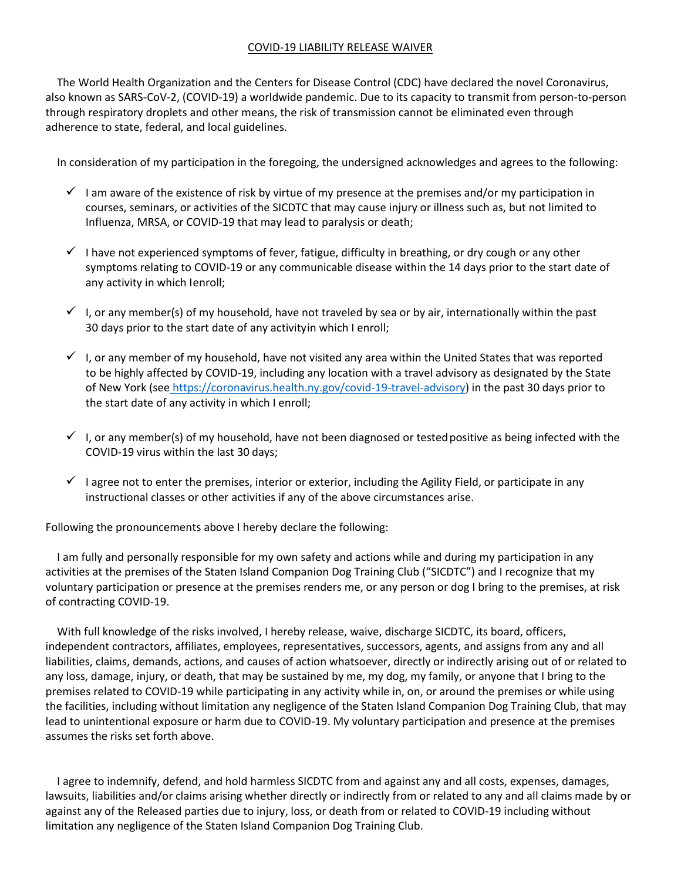#### COVID-19 LIABILITY RELEASE WAIVER

The World Health Organization and the Centers for Disease Control (CDC) have declared the novel Coronavirus, also known as SARS-CoV-2, (COVID-19) a worldwide pandemic. Due to its capacity to transmit from person-to-person through respiratory droplets and other means, the risk of transmission cannot be eliminated even through adherence to state, federal, and local guidelines.

In consideration of my participation in the foregoing, the undersigned acknowledges and agrees to the following:

- $\checkmark$  I am aware of the existence of risk by virtue of my presence at the premises and/or my participation in courses, seminars, or activities of the SICDTC that may cause injury or illness such as, but not limited to Influenza, MRSA, or COVID-19 that may lead to paralysis or death;
- $\checkmark$  I have not experienced symptoms of fever, fatigue, difficulty in breathing, or dry cough or any other symptoms relating to COVID-19 or any communicable disease within the 14 days prior to the start date of any activity in which Ienroll;
- $\checkmark$  I, or any member(s) of my household, have not traveled by sea or by air, internationally within the past 30 days prior to the start date of any activityin which I enroll;
- $\checkmark$  I, or any member of my household, have not visited any area within the United States that was reported to be highly affected by COVID-19, including any location with a travel advisory as designated by the State of New York (see https://coronavirus.health.ny.gov/covid-19-travel-advisory) in the past 30 days prior to the start date of any activity in which I enroll;
- $\checkmark$  I, or any member(s) of my household, have not been diagnosed or tested positive as being infected with the COVID-19 virus within the last 30 days;
- $\checkmark$  I agree not to enter the premises, interior or exterior, including the Agility Field, or participate in any instructional classes or other activities if any of the above circumstances arise.

Following the pronouncements above I hereby declare the following:

I am fully and personally responsible for my own safety and actions while and during my participation in any activities at the premises of the Staten Island Companion Dog Training Club ("SICDTC") and I recognize that my voluntary participation or presence at the premises renders me, or any person or dog I bring to the premises, at risk of contracting COVID-19.

With full knowledge of the risks involved, I hereby release, waive, discharge SICDTC, its board, officers, independent contractors, affiliates, employees, representatives, successors, agents, and assigns from any and all liabilities, claims, demands, actions, and causes of action whatsoever, directly or indirectly arising out of or related to any loss, damage, injury, or death, that may be sustained by me, my dog, my family, or anyone that I bring to the premises related to COVID-19 while participating in any activity while in, on, or around the premises or while using the facilities, including without limitation any negligence of the Staten Island Companion Dog Training Club, that may lead to unintentional exposure or harm due to COVID-19. My voluntary participation and presence at the premises assumes the risks set forth above.

I agree to indemnify, defend, and hold harmless SICDTC from and against any and all costs, expenses, damages, lawsuits, liabilities and/or claims arising whether directly or indirectly from or related to any and all claims made by or against any of the Released parties due to injury, loss, or death from or related to COVID-19 including without limitation any negligence of the Staten Island Companion Dog Training Club.